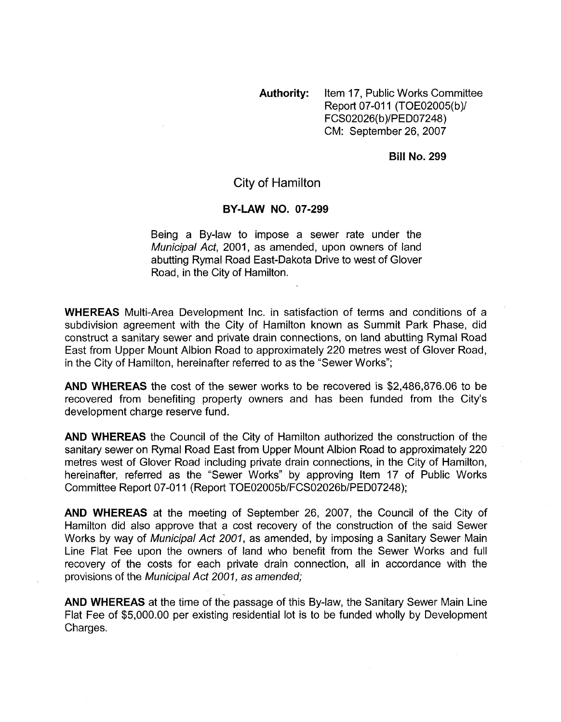**Authority:** Item 17, Public Works Committee Report 07-011 (TOE02005(b)/ FCS02026(b)/PED07248) CM: September 26,2007

**Bill No. 299** 

## City of Hamilton

## **BY-LAW NO. 07-299**

Being a By-law to impose a sewer rate under the *Municipal Act,* 2001, as amended, upon owners of land abutting Ryrnal Road East-Dakota Drive to west of Glover Road, in the City of Hamilton.

**WHEREAS** Multi-Area Development Inc. in satisfaction of terms and conditions of a subdivision agreement with the City of Hamilton known as Summit Park Phase, did construct a sanitary sewer and private drain connections, on land abutting Rymal Road East from Upper Mount Albion Road to approximately 220 metres west of Glover Road, in the City of Hamilton, hereinafter referred to as the "Sewer Works";

**AND WHEREAS** the cost of the sewer works to be recovered is \$2,486,876.06 to be recovered from benefiting property owners and has been funded from the City's development charge reserve fund.

**AND WHEREAS** the Council of the City of Hamilton authorized the construction of the sanitary sewer on Rymal Road East from Upper Mount Albion Road to approximately 220 metres west of Glover Road including private drain connections, in the City of Hamilton, hereinafter, referred as the "Sewer Works" by approving Item 17 of Public Works Committee Report 07-011 (Report TOE02005b/FCS02026b/PED07248);

**AND WHEREAS** at the meeting of September 26, 2007, the Council of the City of Hamilton did also approve that a cost recovery of the construction of the said Sewer Works by way of *Municipal Act 2001,* as amended, by imposing a Sanitary Sewer Main Line Flat Fee upon the owners of land who benefit from the Sewer Works and full recovery of the costs for each private drain connection, all in accordance with the provisions of the *Municipal Act 2001, as* amended;

**AND WHEREAS** at the time of the passage of this By-law, the Sanitary Sewer Main Line Flat Fee of \$5,000.00 per existing residential lot is to be funded wholly by Development Charges.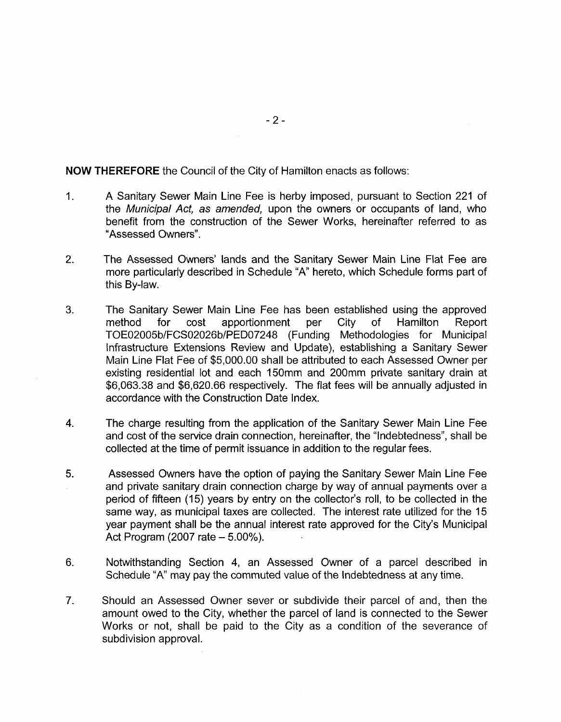**NOW THEREFORE** the Council of the City of Hamilton enacts as follows:

- 1. A Sanitary Sewer Main Line Fee is herby imposed, pursuant to Section 221 of the *Municipal Act, as amended,* upon the owners or occupants of land, who benefit from the construction of the Sewer Works, hereinafter referred to as "Assessed Owners".
- 2. The Assessed Owners' lands and the Sanitary Sewer Main Line Flat Fee are more particularly described in Schedule "A" hereto, which Schedule forms part of this By-law.
- 3. The Sanitary Sewer Main Line Fee has been established using the approved method for cost apportionment per City of Hamilton Report TOE02005b/FCS02026b/PEDO7248 (Funding Methodologies for Municipal Infrastructure Extensions Review and Update), establishing a Sanitary Sewer Main Line Flat Fee of \$5,000.00 shall be attributed to each Assessed Owner per existing residential lot and each 150mm and 200mm private sanitary drain at \$6,063.38 and \$6,620.66 respectively. The flat fees will be annually adjusted in accordance with the Construction Date Index.
- **4.**  The charge resulting from the application of the Sanitary Sewer Main Line Fee and cost of the service drain connection, hereinafter, the "Indebtedness", shall be collected at the time of permit issuance in addition to the regular fees.
- 5. Assessed Owners have the option of paying the Sanitary Sewer Main Line Fee and private sanitary drain connection charge by way of annual payments over a period of fifteen (15) years by entry on the collector's roll, to be collected in the same way, as municipal taxes are collected. The interest rate utilized for the 15 year payment shall be the annual interest rate approved for the City's Municipal Act Program (2007 rate  $-5.00\%$ ).
- 6. Notwithstanding Section **4,** an Assessed Owner of a parcel described in Schedule "A" may pay the commuted value of the Indebtedness at any time.
- **7.**  Should an Assessed Owner sever or subdivide their parcel of and, then the amount owed to the City, whether the parcel of land is connected to the Sewer Works or not, shall be paid to the City as a condition of the severance of subdivision approval.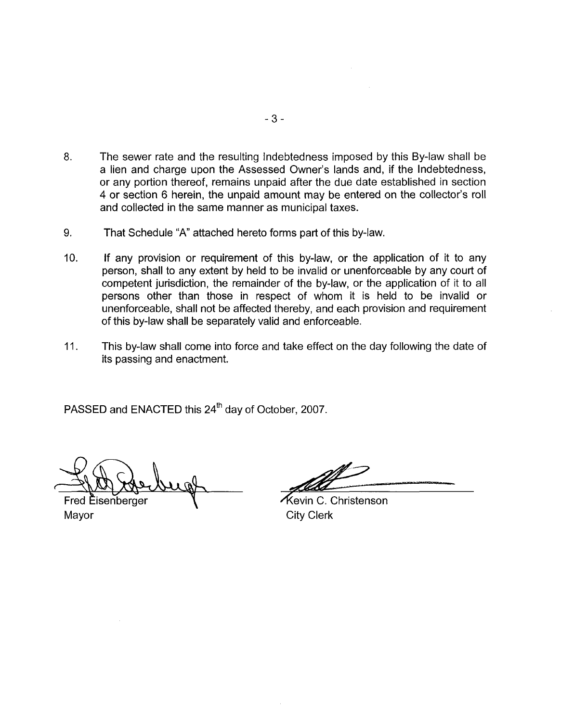- 8. The sewer rate and the resulting Indebtedness imposed by this By-law shall be a lien and charge upon the Assessed Owner's lands and, if the Indebtedness, or any portion thereof, remains unpaid after the due date established in section 4 or section 6 herein, the unpaid amount may be entered on the collector's roll and collected in the same manner as municipal taxes.
- 9. That Schedule "A" attached hereto forms part of this by-law.
- 10. If any provision or requirement of this by-law, or the application of it to any person, shall to any extent by held to be invalid or unenforceable by any court of competent jurisdiction, the remainder of the by-law, or the application of it to all persons other than those in respect of whom it is held to be invalid or unenforceable, shall not be affected thereby, and each provision and requirement of this by-law shall be separately valid and enforceable.
- 11. This by-law shall come into force and take effect on the day following the date of its passing and enactment.

PASSED and ENACTED this 24<sup>th</sup> day of October, 2007.

**Fred Eisenberger** Mayor

/kevin C. Christenson City Clerk